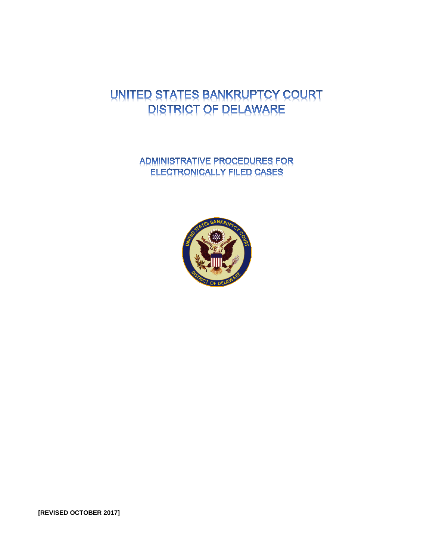# UNITED STATES BANKRUPTCY COURT **DISTRICT OF DELAWARE**

ADMINISTRATIVE PROCEDURES FOR **ELECTRONICALLY FILED CASES** 



**[REVISED OCTOBER 2017]**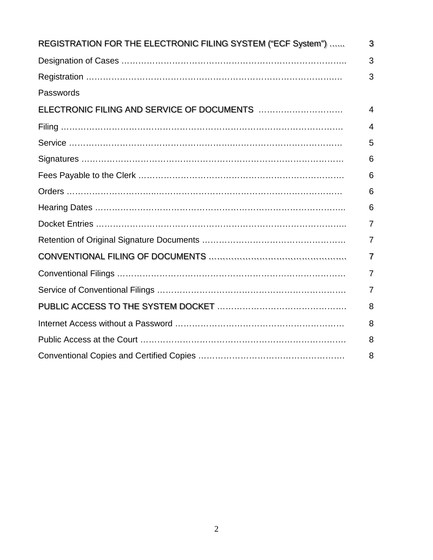| REGISTRATION FOR THE ELECTRONIC FILING SYSTEM ("ECF System") | 3              |
|--------------------------------------------------------------|----------------|
|                                                              | 3              |
|                                                              | 3              |
| Passwords                                                    |                |
| ELECTRONIC FILING AND SERVICE OF DOCUMENTS                   | 4              |
|                                                              | 4              |
|                                                              | 5              |
|                                                              | 6              |
|                                                              | 6              |
|                                                              | 6              |
|                                                              | 6              |
|                                                              | 7              |
|                                                              | $\overline{7}$ |
|                                                              | 7              |
|                                                              | $\overline{7}$ |
|                                                              | $\overline{7}$ |
|                                                              | 8              |
|                                                              | 8              |
|                                                              | 8              |
|                                                              | 8              |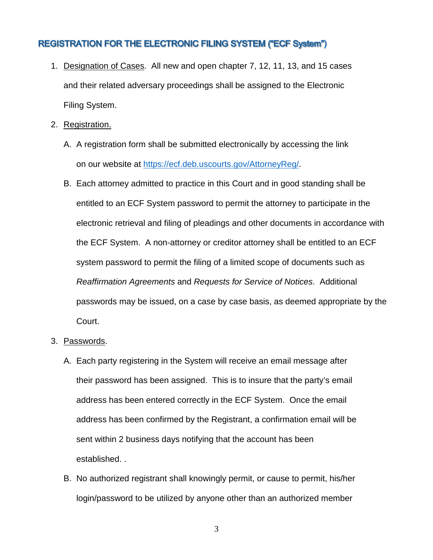## **REGISTRATION FOR THE ELECTRONIC FILING SYSTEM ("ECF System")**

- 1. Designation of Cases. All new and open chapter 7, 12, 11, 13, and 15 cases and their related adversary proceedings shall be assigned to the Electronic Filing System.
- 2. Registration.
	- A. A registration form shall be submitted electronically by accessing the link on our website at [https://ecf.deb.uscourts.gov/AttorneyReg/.](https://ecf.deb.uscourts.gov/AttorneyReg/)
	- B. Each attorney admitted to practice in this Court and in good standing shall be entitled to an ECF System password to permit the attorney to participate in the electronic retrieval and filing of pleadings and other documents in accordance with the ECF System. A non-attorney or creditor attorney shall be entitled to an ECF system password to permit the filing of a limited scope of documents such as *Reaffirmation Agreements* and *Requests for Service of Notices*. Additional passwords may be issued, on a case by case basis, as deemed appropriate by the Court.
- 3. Passwords.
	- A. Each party registering in the System will receive an email message after their password has been assigned. This is to insure that the party's email address has been entered correctly in the ECF System. Once the email address has been confirmed by the Registrant, a confirmation email will be sent within 2 business days notifying that the account has been established. .
	- B. No authorized registrant shall knowingly permit, or cause to permit, his/her login/password to be utilized by anyone other than an authorized member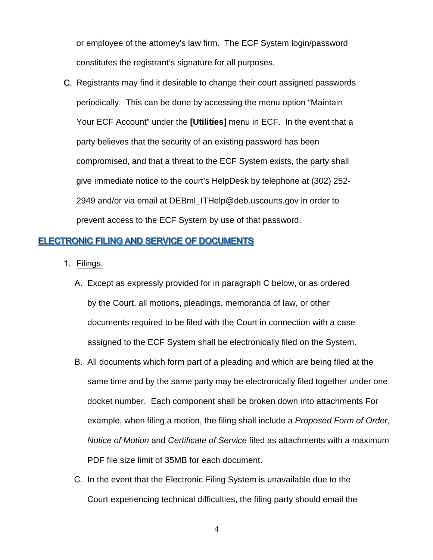or employee of the attorney's law firm. The ECF System login/password constitutes the registrant's signature for all purposes.

C. Registrants may find it desirable to change their court assigned passwords periodically. This can be done by accessing the menu option "Maintain Your ECF Account" under the **[Utilities]** menu in ECF. In the event that a party believes that the security of an existing password has been compromised, and that a threat to the ECF System exists, the party shall give immediate notice to the court's HelpDesk by telephone at (302) 252- 2949 and/or via email at DEBml\_ITHelp@deb.uscourts.gov in order to prevent access to the ECF System by use of that password.

#### **ELECTRONIC FILING AND SERVICE OF DOCUMENTS**

- 1. Filings.
	- A. Except as expressly provided for in paragraph C below, or as ordered by the Court, all motions, pleadings, memoranda of law, or other documents required to be filed with the Court in connection with a case assigned to the ECF System shall be electronically filed on the System.
	- B. All documents which form part of a pleading and which are being filed at the same time and by the same party may be electronically filed together under one docket number. Each component shall be broken down into attachments For example, when filing a motion, the filing shall include a *Proposed Form of Order*, *Notice of Motion* and *Certificate of Service* filed as attachments with a maximum PDF file size limit of 35MB for each document.
	- C. In the event that the Electronic Filing System is unavailable due to the Court experiencing technical difficulties, the filing party should email the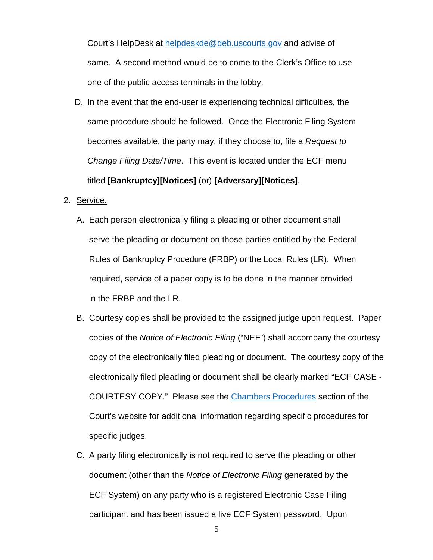Court's HelpDesk at [helpdeskde@deb.uscourts.gov](mailto:helpdeskde@deb.uscourts.gov) and advise of same. A second method would be to come to the Clerk's Office to use one of the public access terminals in the lobby.

- D. In the event that the end-user is experiencing technical difficulties, the same procedure should be followed. Once the Electronic Filing System becomes available, the party may, if they choose to, file a *Request to Change Filing Date/Time*. This event is located under the ECF menu titled **[Bankruptcy][Notices]** (or) **[Adversary][Notices]**.
- 2. Service.
	- A. Each person electronically filing a pleading or other document shall serve the pleading or document on those parties entitled by the Federal Rules of Bankruptcy Procedure (FRBP) or the Local Rules (LR). When required, service of a paper copy is to be done in the manner provided in the FRBP and the LR.
	- B. Courtesy copies shall be provided to the assigned judge upon request. Paper copies of the *Notice of Electronic Filing* ("NEF") shall accompany the courtesy copy of the electronically filed pleading or document. The courtesy copy of the electronically filed pleading or document shall be clearly marked "ECF CASE - COURTESY COPY." Please see the [Chambers Procedures](http://www.deb.uscourts.gov/judges-info) section of the Court's website for additional information regarding specific procedures for specific judges.
	- C. A party filing electronically is not required to serve the pleading or other document (other than the *Notice of Electronic Filing* generated by the ECF System) on any party who is a registered Electronic Case Filing participant and has been issued a live ECF System password. Upon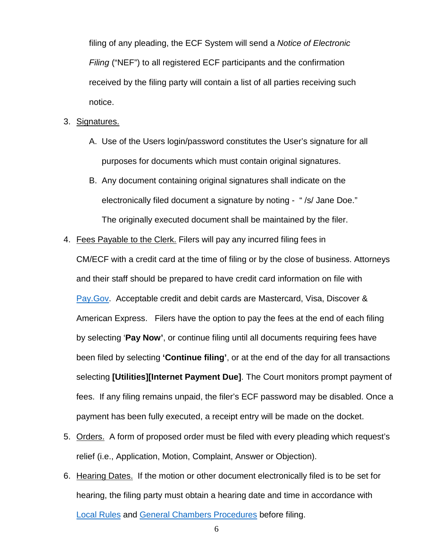filing of any pleading, the ECF System will send a *Notice of Electronic Filing* ("NEF") to all registered ECF participants and the confirmation received by the filing party will contain a list of all parties receiving such notice.

- 3. Signatures.
	- A. Use of the Users login/password constitutes the User's signature for all purposes for documents which must contain original signatures.
	- B. Any document containing original signatures shall indicate on the electronically filed document a signature by noting - " /s/ Jane Doe." The originally executed document shall be maintained by the filer.
- 4. Fees Payable to the Clerk. Filers will pay any incurred filing fees in

CM/ECF with a credit card at the time of filing or by the close of business. Attorneys and their staff should be prepared to have credit card information on file with [Pay.Gov.](https://www.pay.gov/public/home) Acceptable credit and debit cards are Mastercard, Visa, Discover & American Express. Filers have the option to pay the fees at the end of each filing by selecting '**Pay Now'**, or continue filing until all documents requiring fees have been filed by selecting **'Continue filing'**, or at the end of the day for all transactions selecting **[Utilities][Internet Payment Due]**. The Court monitors prompt payment of fees. If any filing remains unpaid, the filer's ECF password may be disabled. Once a payment has been fully executed, a receipt entry will be made on the docket.

- 5. Orders. A form of proposed order must be filed with every pleading which request's relief (i.e., Application, Motion, Complaint, Answer or Objection).
- 6. Hearing Dates. If the motion or other document electronically filed is to be set for hearing, the filing party must obtain a hearing date and time in accordance with [Local Rules](http://www.deb.uscourts.gov/local-rules-and-orders) and [General Chambers Procedures](http://www.deb.uscourts.gov/judges-info) before filing.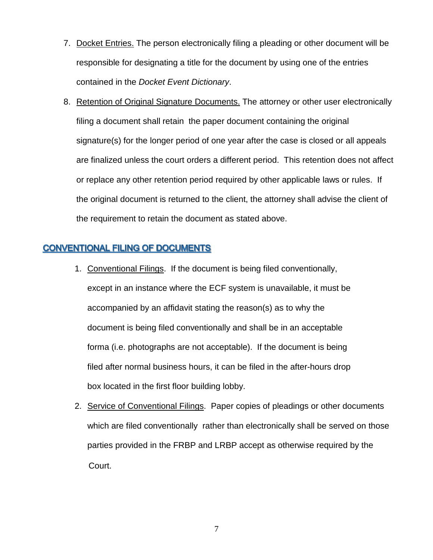- 7. Docket Entries. The person electronically filing a pleading or other document will be responsible for designating a title for the document by using one of the entries contained in the *Docket Event Dictionary*.
- 8. Retention of Original Signature Documents. The attorney or other user electronically filing a document shall retain the paper document containing the original signature(s) for the longer period of one year after the case is closed or all appeals are finalized unless the court orders a different period. This retention does not affect or replace any other retention period required by other applicable laws or rules. If the original document is returned to the client, the attorney shall advise the client of the requirement to retain the document as stated above.

### **CONVENTIONAL FILING OF DOCUMENTS**

- 1. Conventional Filings. If the document is being filed conventionally, except in an instance where the ECF system is unavailable, it must be accompanied by an affidavit stating the reason(s) as to why the document is being filed conventionally and shall be in an acceptable forma (i.e. photographs are not acceptable). If the document is being filed after normal business hours, it can be filed in the after-hours drop box located in the first floor building lobby.
- 2. Service of Conventional Filings. Paper copies of pleadings or other documents which are filed conventionally rather than electronically shall be served on those parties provided in the FRBP and LRBP accept as otherwise required by the Court.